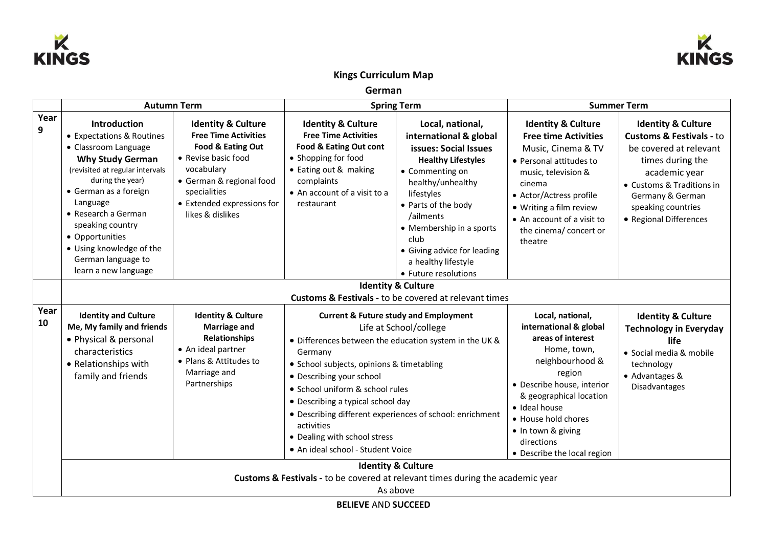



## **Kings Curriculum Map**

**German**

|            | <b>Autumn Term</b>                                                                                                                                                                                                                                                                                                               |                                                                                                                                                                                                                      | <b>Spring Term</b>                                                                                                                                                                                                                                                                                                                                                                                                                              |                                                                                                                                                                                                                                                                                                              | <b>Summer Term</b>                                                                                                                                                                                                                                                              |                                                                                                                                                                                                                                      |  |
|------------|----------------------------------------------------------------------------------------------------------------------------------------------------------------------------------------------------------------------------------------------------------------------------------------------------------------------------------|----------------------------------------------------------------------------------------------------------------------------------------------------------------------------------------------------------------------|-------------------------------------------------------------------------------------------------------------------------------------------------------------------------------------------------------------------------------------------------------------------------------------------------------------------------------------------------------------------------------------------------------------------------------------------------|--------------------------------------------------------------------------------------------------------------------------------------------------------------------------------------------------------------------------------------------------------------------------------------------------------------|---------------------------------------------------------------------------------------------------------------------------------------------------------------------------------------------------------------------------------------------------------------------------------|--------------------------------------------------------------------------------------------------------------------------------------------------------------------------------------------------------------------------------------|--|
| Year<br>9  | Introduction<br>• Expectations & Routines<br>• Classroom Language<br><b>Why Study German</b><br>(revisited at regular intervals<br>during the year)<br>• German as a foreign<br>Language<br>• Research a German<br>speaking country<br>• Opportunities<br>• Using knowledge of the<br>German language to<br>learn a new language | <b>Identity &amp; Culture</b><br><b>Free Time Activities</b><br>Food & Eating Out<br>• Revise basic food<br>vocabulary<br>• German & regional food<br>specialities<br>• Extended expressions for<br>likes & dislikes | <b>Identity &amp; Culture</b><br><b>Free Time Activities</b><br>Food & Eating Out cont<br>• Shopping for food<br>• Eating out & making<br>complaints<br>• An account of a visit to a<br>restaurant                                                                                                                                                                                                                                              | Local, national,<br>international & global<br>issues: Social Issues<br><b>Healthy Lifestyles</b><br>• Commenting on<br>healthy/unhealthy<br>lifestyles<br>• Parts of the body<br>/ailments<br>• Membership in a sports<br>club<br>• Giving advice for leading<br>a healthy lifestyle<br>• Future resolutions | <b>Identity &amp; Culture</b><br><b>Free time Activities</b><br>Music, Cinema & TV<br>• Personal attitudes to<br>music, television &<br>cinema<br>• Actor/Actress profile<br>• Writing a film review<br>• An account of a visit to<br>the cinema/ concert or<br>theatre         | <b>Identity &amp; Culture</b><br><b>Customs &amp; Festivals - to</b><br>be covered at relevant<br>times during the<br>academic year<br>• Customs & Traditions in<br>Germany & German<br>speaking countries<br>• Regional Differences |  |
|            | <b>Identity &amp; Culture</b><br><b>Customs &amp; Festivals - to be covered at relevant times</b>                                                                                                                                                                                                                                |                                                                                                                                                                                                                      |                                                                                                                                                                                                                                                                                                                                                                                                                                                 |                                                                                                                                                                                                                                                                                                              |                                                                                                                                                                                                                                                                                 |                                                                                                                                                                                                                                      |  |
| Year<br>10 | <b>Identity and Culture</b><br>Me, My family and friends<br>• Physical & personal<br>characteristics<br>• Relationships with<br>family and friends                                                                                                                                                                               | <b>Identity &amp; Culture</b><br><b>Marriage and</b><br><b>Relationships</b><br>• An ideal partner<br>• Plans & Attitudes to<br>Marriage and<br>Partnerships                                                         | <b>Current &amp; Future study and Employment</b><br>Life at School/college<br>• Differences between the education system in the UK &<br>Germany<br>• School subjects, opinions & timetabling<br>• Describing your school<br>• School uniform & school rules<br>• Describing a typical school day<br>• Describing different experiences of school: enrichment<br>activities<br>• Dealing with school stress<br>• An ideal school - Student Voice |                                                                                                                                                                                                                                                                                                              | Local, national,<br>international & global<br>areas of interest<br>Home, town,<br>neighbourhood &<br>region<br>· Describe house, interior<br>& geographical location<br>· Ideal house<br>• House hold chores<br>· In town & giving<br>directions<br>• Describe the local region | <b>Identity &amp; Culture</b><br><b>Technology in Everyday</b><br>life<br>· Social media & mobile<br>technology<br>• Advantages &<br>Disadvantages                                                                                   |  |
|            | <b>Identity &amp; Culture</b><br>Customs & Festivals - to be covered at relevant times during the academic year<br>As above<br><b>BELIEVE AND SUCCEED</b>                                                                                                                                                                        |                                                                                                                                                                                                                      |                                                                                                                                                                                                                                                                                                                                                                                                                                                 |                                                                                                                                                                                                                                                                                                              |                                                                                                                                                                                                                                                                                 |                                                                                                                                                                                                                                      |  |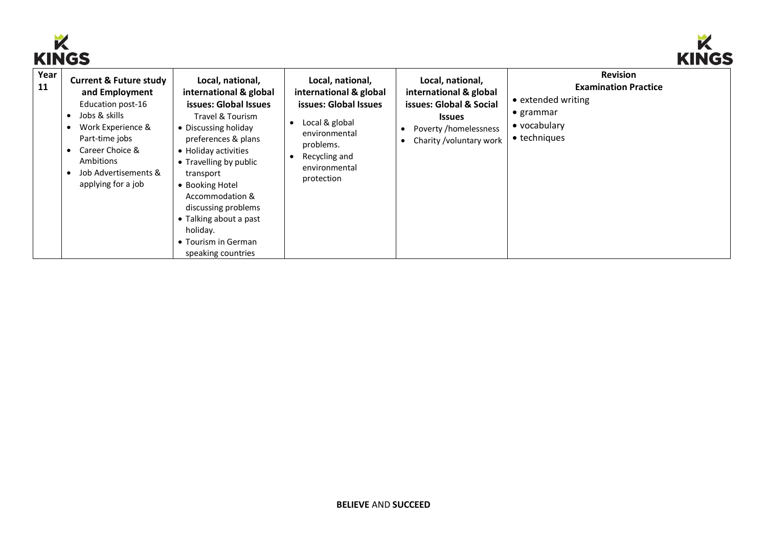



|            | www<br>. <i>.</i>                                                                                                                                                                                                                                                  |                                                                                                                                                                                                                                                                                                                                                       |                                                                                                                                                                     |                                                                                                                                            |                                                                                                                           |  |  |
|------------|--------------------------------------------------------------------------------------------------------------------------------------------------------------------------------------------------------------------------------------------------------------------|-------------------------------------------------------------------------------------------------------------------------------------------------------------------------------------------------------------------------------------------------------------------------------------------------------------------------------------------------------|---------------------------------------------------------------------------------------------------------------------------------------------------------------------|--------------------------------------------------------------------------------------------------------------------------------------------|---------------------------------------------------------------------------------------------------------------------------|--|--|
| Year<br>11 | <b>Current &amp; Future study</b><br>and Employment<br>Education post-16<br>Jobs & skills<br>$\bullet$<br>Work Experience &<br>$\bullet$<br>Part-time jobs<br>Career Choice &<br>$\bullet$<br>Ambitions<br>Job Advertisements &<br>$\bullet$<br>applying for a job | Local, national,<br>international & global<br>issues: Global Issues<br>Travel & Tourism<br>• Discussing holiday<br>preferences & plans<br>• Holiday activities<br>• Travelling by public<br>transport<br>• Booking Hotel<br>Accommodation &<br>discussing problems<br>• Talking about a past<br>holiday.<br>• Tourism in German<br>speaking countries | Local, national,<br>international & global<br>issues: Global Issues<br>Local & global<br>environmental<br>problems.<br>Recycling and<br>environmental<br>protection | Local, national,<br>international & global<br>issues: Global & Social<br><b>Issues</b><br>Poverty /homelessness<br>Charity /voluntary work | <b>Revision</b><br><b>Examination Practice</b><br>• extended writing<br>$\bullet$ grammar<br>• vocabulary<br>• techniques |  |  |